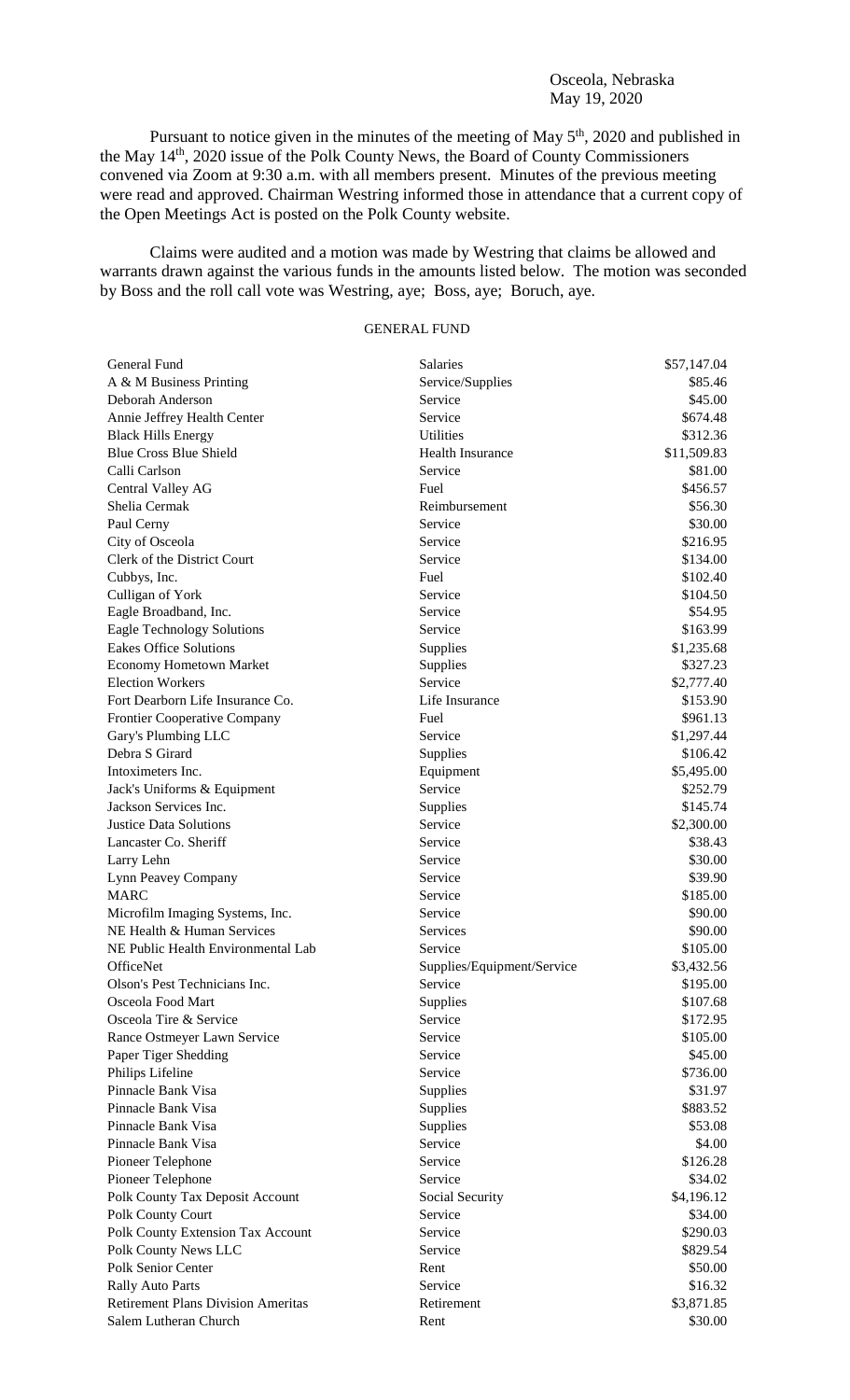## Osceola, Nebraska May 19, 2020

Pursuant to notice given in the minutes of the meeting of May  $5<sup>th</sup>$ , 2020 and published in the May 14th, 2020 issue of the Polk County News, the Board of County Commissioners convened via Zoom at 9:30 a.m. with all members present. Minutes of the previous meeting were read and approved. Chairman Westring informed those in attendance that a current copy of the Open Meetings Act is posted on the Polk County website.

Claims were audited and a motion was made by Westring that claims be allowed and warrants drawn against the various funds in the amounts listed below. The motion was seconded by Boss and the roll call vote was Westring, aye; Boss, aye; Boruch, aye.

## GENERAL FUND

| General Fund                              | Salaries                   | \$57,147.04 |
|-------------------------------------------|----------------------------|-------------|
| A & M Business Printing                   | Service/Supplies           | \$85.46     |
| Deborah Anderson                          | Service                    | \$45.00     |
| Annie Jeffrey Health Center               | Service                    | \$674.48    |
| <b>Black Hills Energy</b>                 | <b>Utilities</b>           | \$312.36    |
| <b>Blue Cross Blue Shield</b>             | <b>Health Insurance</b>    | \$11,509.83 |
| Calli Carlson                             | Service                    | \$81.00     |
| <b>Central Valley AG</b>                  | Fuel                       | \$456.57    |
| Shelia Cermak                             | Reimbursement              | \$56.30     |
| Paul Cerny                                | Service                    | \$30.00     |
| City of Osceola                           | Service                    | \$216.95    |
| Clerk of the District Court               | Service                    | \$134.00    |
| Cubbys, Inc.                              | Fuel                       | \$102.40    |
| Culligan of York                          | Service                    | \$104.50    |
| Eagle Broadband, Inc.                     | Service                    | \$54.95     |
| <b>Eagle Technology Solutions</b>         | Service                    | \$163.99    |
| <b>Eakes Office Solutions</b>             | Supplies                   | \$1,235.68  |
| <b>Economy Hometown Market</b>            | Supplies                   | \$327.23    |
| <b>Election Workers</b>                   | Service                    | \$2,777.40  |
| Fort Dearborn Life Insurance Co.          | Life Insurance             | \$153.90    |
| <b>Frontier Cooperative Company</b>       | Fuel                       | \$961.13    |
| Gary's Plumbing LLC                       | Service                    | \$1,297.44  |
| Debra S Girard                            | Supplies                   | \$106.42    |
| Intoximeters Inc.                         | Equipment                  | \$5,495.00  |
| Jack's Uniforms & Equipment               | Service                    | \$252.79    |
| Jackson Services Inc.                     | Supplies                   | \$145.74    |
| <b>Justice Data Solutions</b>             | Service                    | \$2,300.00  |
| Lancaster Co. Sheriff                     | Service                    | \$38.43     |
| Larry Lehn                                | Service                    | \$30.00     |
| Lynn Peavey Company                       | Service                    | \$39.90     |
| <b>MARC</b>                               | Service                    | \$185.00    |
| Microfilm Imaging Systems, Inc.           | Service                    | \$90.00     |
| NE Health & Human Services                | Services                   | \$90.00     |
| NE Public Health Environmental Lab        | Service                    | \$105.00    |
| OfficeNet                                 | Supplies/Equipment/Service | \$3,432.56  |
| Olson's Pest Technicians Inc.             |                            | \$195.00    |
| Osceola Food Mart                         | Service                    | \$107.68    |
| Osceola Tire & Service                    | <b>Supplies</b><br>Service | \$172.95    |
|                                           | Service                    | \$105.00    |
| Rance Ostmeyer Lawn Service               | Service                    | \$45.00     |
| Paper Tiger Shedding<br>Philips Lifeline  | Service                    | \$736.00    |
| Pinnacle Bank Visa                        |                            |             |
|                                           | Supplies                   | \$31.97     |
| Pinnacle Bank Visa                        | Supplies                   | \$883.52    |
| Pinnacle Bank Visa                        | Supplies                   | \$53.08     |
| Pinnacle Bank Visa                        | Service                    | \$4.00      |
| Pioneer Telephone                         | Service                    | \$126.28    |
| Pioneer Telephone                         | Service                    | \$34.02     |
| Polk County Tax Deposit Account           | Social Security            | \$4,196.12  |
| Polk County Court                         | Service                    | \$34.00     |
| Polk County Extension Tax Account         | Service                    | \$290.03    |
| Polk County News LLC                      | Service                    | \$829.54    |
| Polk Senior Center                        | Rent                       | \$50.00     |
| <b>Rally Auto Parts</b>                   | Service                    | \$16.32     |
| <b>Retirement Plans Division Ameritas</b> | Retirement                 | \$3,871.85  |
| Salem Lutheran Church                     | Rent                       | \$30.00     |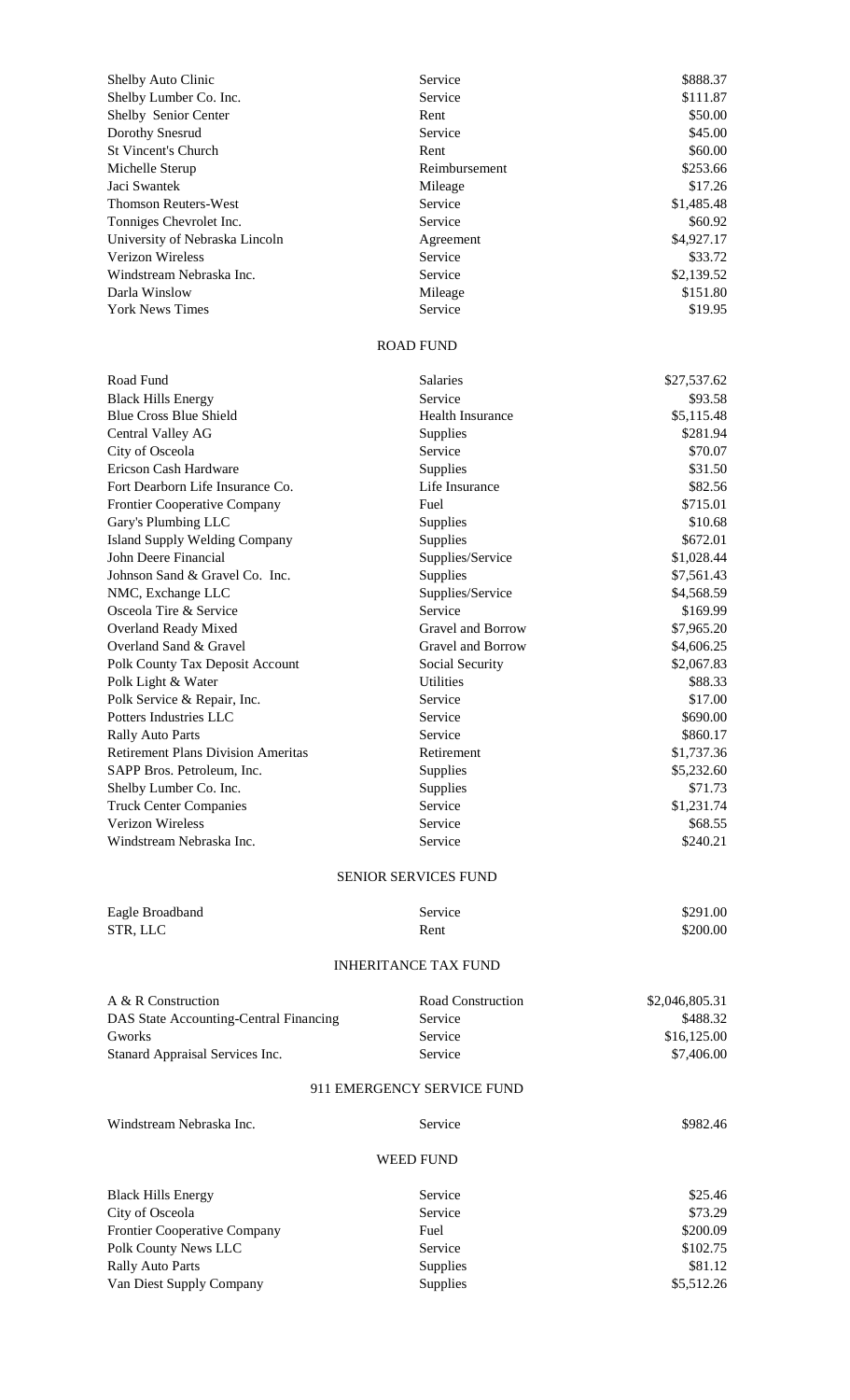| Shelby Auto Clinic                                                      | Service                      | \$888.37                 |
|-------------------------------------------------------------------------|------------------------------|--------------------------|
| Shelby Lumber Co. Inc.                                                  | Service                      | \$111.87                 |
| Shelby Senior Center                                                    | Rent                         | \$50.00                  |
| Dorothy Snesrud                                                         | Service                      | \$45.00                  |
| <b>St Vincent's Church</b>                                              | Rent                         | \$60.00<br>\$253.66      |
| Michelle Sterup<br>Jaci Swantek                                         | Reimbursement<br>Mileage     | \$17.26                  |
| <b>Thomson Reuters-West</b>                                             | Service                      | \$1,485.48               |
| Tonniges Chevrolet Inc.                                                 | Service                      | \$60.92                  |
| University of Nebraska Lincoln                                          | Agreement                    | \$4,927.17               |
| <b>Verizon Wireless</b>                                                 | Service                      | \$33.72                  |
| Windstream Nebraska Inc.                                                | Service                      | \$2,139.52               |
| Darla Winslow                                                           | Mileage                      | \$151.80                 |
| <b>York News Times</b>                                                  | Service                      | \$19.95                  |
|                                                                         | <b>ROAD FUND</b>             |                          |
| Road Fund                                                               | Salaries                     | \$27,537.62              |
| <b>Black Hills Energy</b>                                               | Service                      | \$93.58                  |
| <b>Blue Cross Blue Shield</b>                                           | <b>Health Insurance</b>      | \$5,115.48               |
| Central Valley AG                                                       | Supplies                     | \$281.94                 |
| City of Osceola                                                         | Service                      | \$70.07                  |
| Ericson Cash Hardware                                                   | Supplies                     | \$31.50                  |
| Fort Dearborn Life Insurance Co.                                        | Life Insurance               | \$82.56                  |
| <b>Frontier Cooperative Company</b>                                     | Fuel                         | \$715.01                 |
| Gary's Plumbing LLC                                                     | Supplies                     | \$10.68<br>\$672.01      |
| <b>Island Supply Welding Company</b><br>John Deere Financial            | Supplies<br>Supplies/Service | \$1,028.44               |
| Johnson Sand & Gravel Co. Inc.                                          | Supplies                     | \$7,561.43               |
| NMC, Exchange LLC                                                       | Supplies/Service             | \$4,568.59               |
| Osceola Tire & Service                                                  | Service                      | \$169.99                 |
| Overland Ready Mixed                                                    | Gravel and Borrow            | \$7,965.20               |
| Overland Sand & Gravel                                                  | Gravel and Borrow            | \$4,606.25               |
| Polk County Tax Deposit Account                                         | Social Security              | \$2,067.83               |
| Polk Light & Water                                                      | <b>Utilities</b>             | \$88.33                  |
| Polk Service & Repair, Inc.                                             | Service                      | \$17.00                  |
| Potters Industries LLC                                                  | Service                      | \$690.00                 |
| <b>Rally Auto Parts</b>                                                 | Service                      | \$860.17                 |
| <b>Retirement Plans Division Ameritas</b><br>SAPP Bros. Petroleum, Inc. | Retirement<br>Supplies       | \$1,737.36<br>\$5,232.60 |
| Shelby Lumber Co. Inc.                                                  | Supplies                     | \$71.73                  |
| <b>Truck Center Companies</b>                                           | Service                      | \$1,231.74               |
| <b>Verizon Wireless</b>                                                 | Service                      | \$68.55                  |
| Windstream Nebraska Inc.                                                | Service                      | \$240.21                 |
|                                                                         | <b>SENIOR SERVICES FUND</b>  |                          |
|                                                                         |                              |                          |
| Eagle Broadband<br>STR, LLC                                             | Service<br>Rent              | \$291.00<br>\$200.00     |
|                                                                         |                              |                          |
|                                                                         | <b>INHERITANCE TAX FUND</b>  |                          |
| A & R Construction                                                      | Road Construction            | \$2,046,805.31           |
| DAS State Accounting-Central Financing                                  | Service                      | \$488.32                 |
| Gworks                                                                  | Service                      | \$16,125.00              |
| Stanard Appraisal Services Inc.                                         | Service                      | \$7,406.00               |
|                                                                         | 911 EMERGENCY SERVICE FUND   |                          |
| Windstream Nebraska Inc.                                                | Service                      | \$982.46                 |
|                                                                         | <b>WEED FUND</b>             |                          |
| <b>Black Hills Energy</b>                                               | Service                      | \$25.46                  |
| City of Osceola                                                         | Service                      | \$73.29                  |
| <b>Frontier Cooperative Company</b>                                     | Fuel                         | \$200.09                 |
| Polk County News LLC                                                    | Service                      | \$102.75                 |
| <b>Rally Auto Parts</b>                                                 | Supplies                     | \$81.12                  |
| Van Diest Supply Company                                                | Supplies                     | \$5,512.26               |